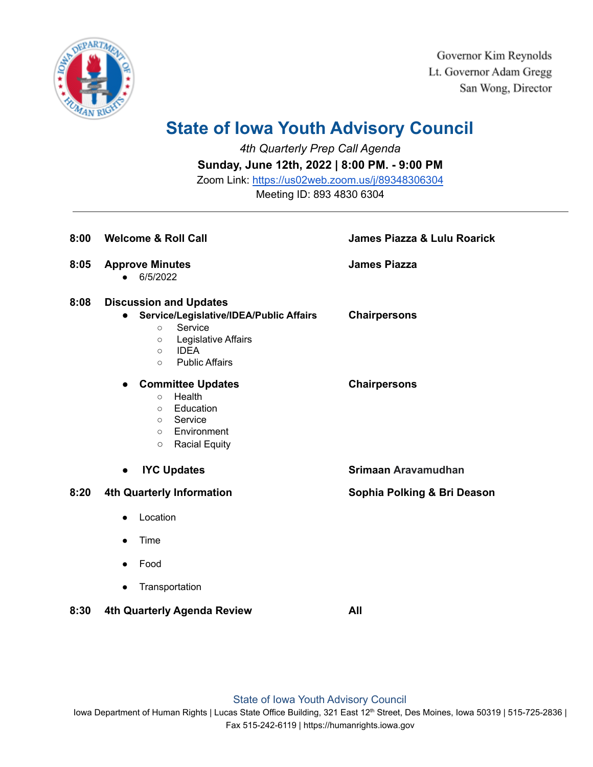

Governor Kim Reynolds Lt. Governor Adam Gregg San Wong, Director

## **State of Iowa Youth Advisory Council**

*4th Quarterly Prep Call Agenda*

**Sunday, June 12th, 2022 | 8:00 PM. - 9:00 PM**

Zoom Link: <https://us02web.zoom.us/j/89348306304>

Meeting ID: 893 4830 6304

| 8:00 | <b>Welcome &amp; Roll Call</b>                                                                                                                                                                              | <b>James Piazza &amp; Lulu Roarick</b> |
|------|-------------------------------------------------------------------------------------------------------------------------------------------------------------------------------------------------------------|----------------------------------------|
| 8:05 | <b>Approve Minutes</b><br>6/5/2022                                                                                                                                                                          | <b>James Piazza</b>                    |
| 8:08 | <b>Discussion and Updates</b><br>Service/Legislative/IDEA/Public Affairs<br>$\bullet$<br>Service<br>$\circ$<br>Legislative Affairs<br>$\circ$<br><b>IDEA</b><br>$\circ$<br><b>Public Affairs</b><br>$\circ$ | <b>Chairpersons</b>                    |
|      | <b>Committee Updates</b><br>$\bullet$<br>Health<br>$\circ$<br>Education<br>$\circ$<br>Service<br>$\circ$<br>Environment<br>$\circ$<br><b>Racial Equity</b><br>$\circ$                                       | <b>Chairpersons</b>                    |
|      | <b>IYC Updates</b><br>$\bullet$                                                                                                                                                                             | Srimaan Aravamudhan                    |
| 8:20 | 4th Quarterly Information<br>Location<br>Time<br>$\bullet$<br>Food<br>Transportation<br>$\bullet$                                                                                                           | Sophia Polking & Bri Deason            |
| 8:30 | 4th Quarterly Agenda Review                                                                                                                                                                                 | All                                    |

State of Iowa Youth Advisory Council

Iowa Department of Human Rights | Lucas State Office Building, 321 East 12<sup>th</sup> Street, Des Moines, Iowa 50319 | 515-725-2836 | Fax 515-242-6119 | https://humanrights.iowa.gov